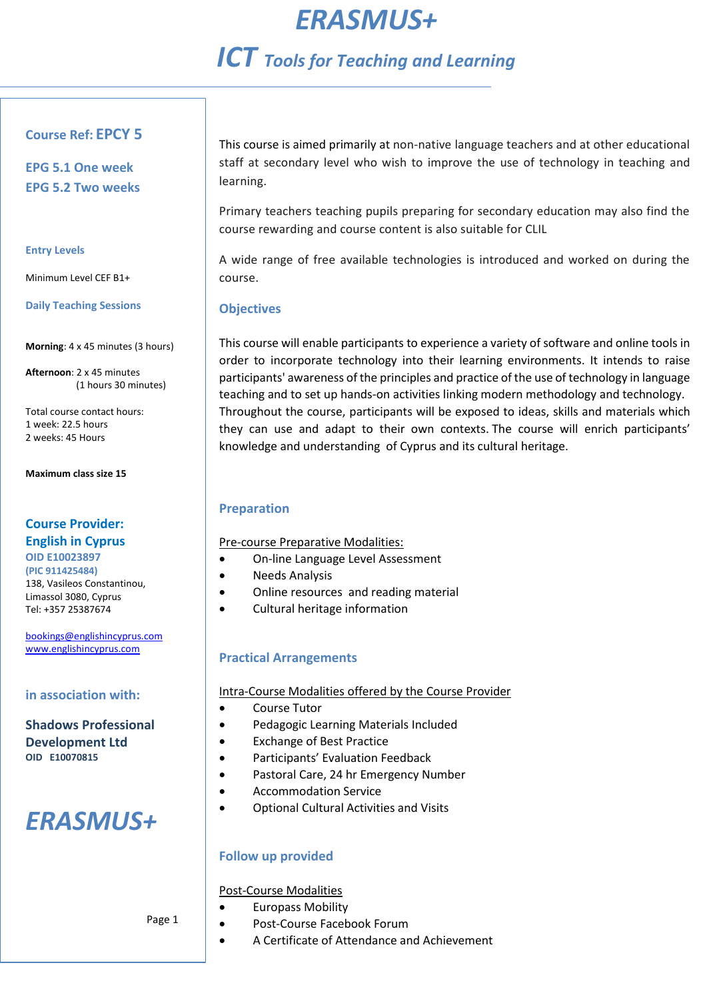# *ERASMUS+*

## *ICT Tools for Teaching and Learning*

### **Course Ref: EPCY 5**

**EPG 5.1 One week EPG 5.2 Two weeks**

#### **Entry Levels**

Minimum Level CEF B1+

#### **Daily Teaching Sessions**

**Morning**: 4 x 45 minutes (3 hours)

**Afternoon**: 2 x 45 minutes (1 hours 30 minutes)

Total course contact hours: 1 week: 22.5 hours 2 weeks: 45 Hours

**Maximum class size 15**

## **Course Provider: English in Cyprus**

**OID E10023897 (PIC 911425484)**  138, Vasileos Constantinou, Limassol 3080, Cyprus Tel: +357 25387674

[bookings@englishincyprus.com](mailto:bookings@englishincyprus.com)  [www.englishincyprus.com](http://www.englishincyprus.com/) 

## **in association with:**

**Shadows Professional Development Ltd OID E10070815**

# *ERASMUS+*

This course is aimed primarily at non-native language teachers and at other educational staff at secondary level who wish to improve the use of technology in teaching and learning.

Primary teachers teaching pupils preparing for secondary education may also find the course rewarding and course content is also suitable for CLIL

A wide range of free available technologies is introduced and worked on during the course.

## **Objectives**

This course will enable participants to experience a variety of software and online tools in order to incorporate technology into their learning environments. It intends to raise participants' awareness of the principles and practice of the use of technology in language teaching and to set up hands-on activities linking modern methodology and technology. Throughout the course, participants will be exposed to ideas, skills and materials which they can use and adapt to their own contexts. The course will enrich participants' knowledge and understanding of Cyprus and its cultural heritage.

## **Preparation**

Pre-course Preparative Modalities:

- On-line Language Level Assessment
- Needs Analysis
- Online resources and reading material
- Cultural heritage information

## **Practical Arrangements**

Intra-Course Modalities offered by the Course Provider

- Course Tutor
- Pedagogic Learning Materials Included
- Exchange of Best Practice
- Participants' Evaluation Feedback
- Pastoral Care, 24 hr Emergency Number
- Accommodation Service
- Optional Cultural Activities and Visits

## **Follow up provided**

### Post-Course Modalities

- Europass Mobility
- Post-Course Facebook Forum
- A Certificate of Attendance and Achievement

Page 1